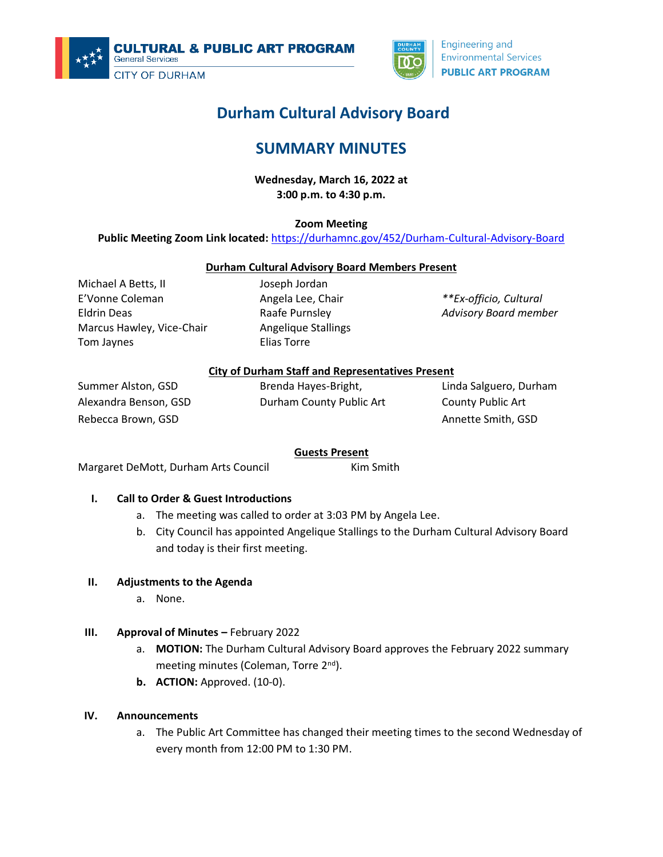



# **Durham Cultural Advisory Board**

## **SUMMARY MINUTES**

**Wednesday, March 16, 2022 at 3:00 p.m. to 4:30 p.m.**

**Zoom Meeting**

**Public Meeting Zoom Link located:** <https://durhamnc.gov/452/Durham-Cultural-Advisory-Board>

## **Durham Cultural Advisory Board Members Present**

Michael A Betts, II E'Vonne Coleman Eldrin Deas Marcus Hawley, Vice-Chair Tom Jaynes

Joseph Jordan Angela Lee, Chair Raafe Purnsley Angelique Stallings Elias Torre

*\*\*Ex-officio, Cultural Advisory Board member*

## **City of Durham Staff and Representatives Present**

Summer Alston, GSD Alexandra Benson, GSD Rebecca Brown, GSD

Brenda Hayes-Bright, Durham County Public Art Linda Salguero, Durham County Public Art Annette Smith, GSD

#### **Guests Present**

Margaret DeMott, Durham Arts Council Kim Smith

## **I. Call to Order & Guest Introductions**

- a. The meeting was called to order at 3:03 PM by Angela Lee.
- b. City Council has appointed Angelique Stallings to the Durham Cultural Advisory Board and today is their first meeting.

#### **II. Adjustments to the Agenda**

a. None.

## **III. Approval of Minutes –** February 2022

- a. **MOTION:** The Durham Cultural Advisory Board approves the February 2022 summary meeting minutes (Coleman, Torre 2<sup>nd</sup>).
- **b. ACTION:** Approved. (10-0).

#### **IV. Announcements**

a. The Public Art Committee has changed their meeting times to the second Wednesday of every month from 12:00 PM to 1:30 PM.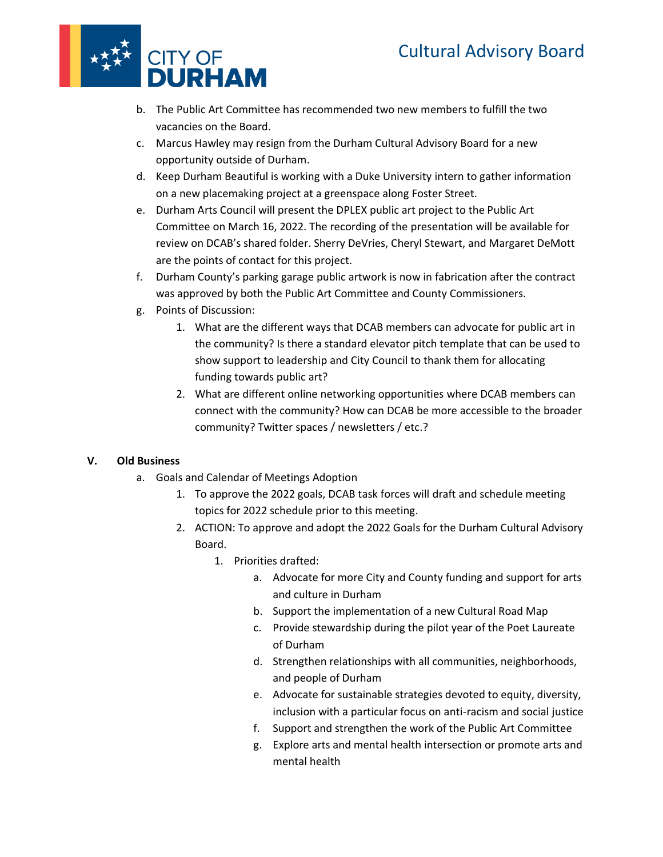

- b. The Public Art Committee has recommended two new members to fulfill the two vacancies on the Board.
- c. Marcus Hawley may resign from the Durham Cultural Advisory Board for a new opportunity outside of Durham.
- d. Keep Durham Beautiful is working with a Duke University intern to gather information on a new placemaking project at a greenspace along Foster Street.
- e. Durham Arts Council will present the DPLEX public art project to the Public Art Committee on March 16, 2022. The recording of the presentation will be available for review on DCAB's shared folder. Sherry DeVries, Cheryl Stewart, and Margaret DeMott are the points of contact for this project.
- f. Durham County's parking garage public artwork is now in fabrication after the contract was approved by both the Public Art Committee and County Commissioners.
- g. Points of Discussion:
	- 1. What are the different ways that DCAB members can advocate for public art in the community? Is there a standard elevator pitch template that can be used to show support to leadership and City Council to thank them for allocating funding towards public art?
	- 2. What are different online networking opportunities where DCAB members can connect with the community? How can DCAB be more accessible to the broader community? Twitter spaces / newsletters / etc.?

## **V. Old Business**

- a. Goals and Calendar of Meetings Adoption
	- 1. To approve the 2022 goals, DCAB task forces will draft and schedule meeting topics for 2022 schedule prior to this meeting.
	- 2. ACTION: To approve and adopt the 2022 Goals for the Durham Cultural Advisory Board.
		- 1. Priorities drafted:
			- a. Advocate for more City and County funding and support for arts and culture in Durham
			- b. Support the implementation of a new Cultural Road Map
			- c. Provide stewardship during the pilot year of the Poet Laureate of Durham
			- d. Strengthen relationships with all communities, neighborhoods, and people of Durham
			- e. Advocate for sustainable strategies devoted to equity, diversity, inclusion with a particular focus on anti-racism and social justice
			- f. Support and strengthen the work of the Public Art Committee
			- g. Explore arts and mental health intersection or promote arts and mental health